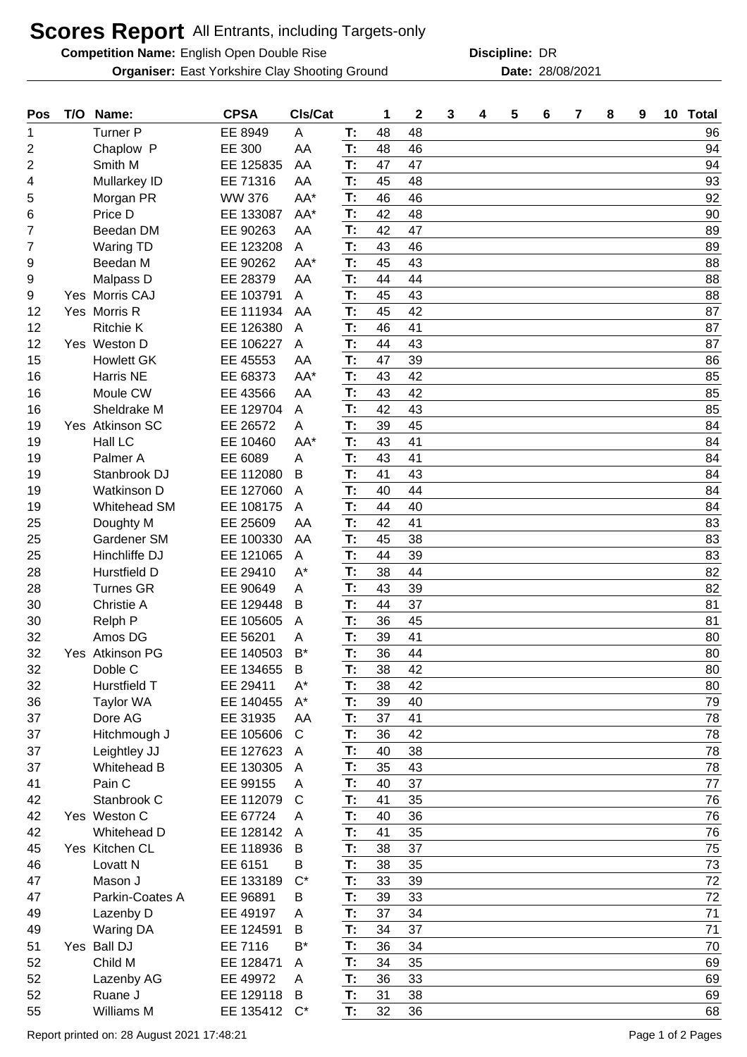## **Scores Report** All Entrants, including Targets-only

**Competition Name:** English Open Double Rise **Competition Construction Construction** DR

**Organiser:** East Yorkshire Clay Shooting Ground **28/08/2021** Date: 28/08/2021

**Discipline:**

| Pos | T/O | Name:              | <b>CPSA</b>   | Cls/Cat        |    | 1  | $\mathbf 2$ | 3 | 4 | 5 | 6 | 7 | 8 | 9 | 10 <sub>1</sub> | <b>Total</b> |
|-----|-----|--------------------|---------------|----------------|----|----|-------------|---|---|---|---|---|---|---|-----------------|--------------|
| 1   |     | <b>Turner P</b>    | EE 8949       | A              | T: | 48 | 48          |   |   |   |   |   |   |   |                 | 96           |
| 2   |     | Chaplow P          | EE 300        | AA             | T: | 48 | 46          |   |   |   |   |   |   |   |                 | 94           |
| 2   |     | Smith M            | EE 125835     | AA             | T: | 47 | 47          |   |   |   |   |   |   |   |                 | 94           |
| 4   |     | Mullarkey ID       | EE 71316      | AA             | T: | 45 | 48          |   |   |   |   |   |   |   |                 | 93           |
| 5   |     | Morgan PR          | <b>WW 376</b> | AA*            | T: | 46 | 46          |   |   |   |   |   |   |   |                 | 92           |
| 6   |     | Price D            | EE 133087     | AA*            | T: | 42 | 48          |   |   |   |   |   |   |   |                 | 90           |
| 7   |     | Beedan DM          | EE 90263      | AA             | T: | 42 | 47          |   |   |   |   |   |   |   |                 | 89           |
| 7   |     | <b>Waring TD</b>   | EE 123208     | A              | T: | 43 | 46          |   |   |   |   |   |   |   |                 | 89           |
| 9   |     | Beedan M           | EE 90262      | AA*            | T: | 45 | 43          |   |   |   |   |   |   |   |                 | 88           |
| 9   |     | Malpass D          | EE 28379      | AA             | T: | 44 | 44          |   |   |   |   |   |   |   |                 | 88           |
| 9   |     | Yes Morris CAJ     | EE 103791     | A              | T: | 45 | 43          |   |   |   |   |   |   |   |                 | 88           |
| 12  |     | Yes Morris R       | EE 111934     | AA             | T: | 45 | 42          |   |   |   |   |   |   |   |                 | 87           |
| 12  |     | <b>Ritchie K</b>   | EE 126380     | A              | T: | 46 | 41          |   |   |   |   |   |   |   |                 | 87           |
| 12  |     | Yes Weston D       | EE 106227     | A              | T: | 44 | 43          |   |   |   |   |   |   |   |                 | 87           |
| 15  |     | <b>Howlett GK</b>  | EE 45553      | AA             | T: | 47 | 39          |   |   |   |   |   |   |   |                 | 86           |
| 16  |     | <b>Harris NE</b>   | EE 68373      | AA*            | T: | 43 | 42          |   |   |   |   |   |   |   |                 | 85           |
| 16  |     | Moule CW           | EE 43566      | AA             | T: | 43 | 42          |   |   |   |   |   |   |   |                 | 85           |
| 16  |     | Sheldrake M        | EE 129704     | A              | T: | 42 | 43          |   |   |   |   |   |   |   |                 | 85           |
| 19  |     | Yes Atkinson SC    | EE 26572      | Α              | T: | 39 | 45          |   |   |   |   |   |   |   |                 | 84           |
| 19  |     | <b>Hall LC</b>     | EE 10460      | AA*            | T: | 43 | 41          |   |   |   |   |   |   |   |                 | 84           |
| 19  |     | Palmer A           | EE 6089       | A              | T: | 43 | 41          |   |   |   |   |   |   |   |                 | 84           |
| 19  |     | Stanbrook DJ       | EE 112080     | B              | T: | 41 | 43          |   |   |   |   |   |   |   |                 | 84           |
| 19  |     | <b>Watkinson D</b> | EE 127060     | A              | T: | 40 | 44          |   |   |   |   |   |   |   |                 | 84           |
| 19  |     | Whitehead SM       | EE 108175     | A              | T: | 44 | 40          |   |   |   |   |   |   |   |                 | 84           |
| 25  |     | Doughty M          | EE 25609      | AA             | T: | 42 | 41          |   |   |   |   |   |   |   |                 | 83           |
| 25  |     | Gardener SM        | EE 100330     | AA             | T: | 45 | 38          |   |   |   |   |   |   |   |                 | 83           |
| 25  |     | Hinchliffe DJ      | EE 121065     | A              | T: | 44 | 39          |   |   |   |   |   |   |   |                 | 83           |
| 28  |     | Hurstfield D       | EE 29410      | $A^*$          | T: | 38 | 44          |   |   |   |   |   |   |   |                 | 82           |
| 28  |     | <b>Turnes GR</b>   | EE 90649      | A              | T: | 43 | 39          |   |   |   |   |   |   |   |                 | 82           |
| 30  |     | Christie A         | EE 129448     | В              | T: | 44 | 37          |   |   |   |   |   |   |   |                 | 81           |
| 30  |     | Relph P            | EE 105605     | A              | T: | 36 | 45          |   |   |   |   |   |   |   |                 | 81           |
| 32  |     | Amos DG            | EE 56201      | A              | T: | 39 | 41          |   |   |   |   |   |   |   |                 | 80           |
| 32  |     | Yes Atkinson PG    | EE 140503     | $B^*$          | T: | 36 | 44          |   |   |   |   |   |   |   |                 | 80           |
| 32  |     | Doble C            | EE 134655     | $\mathsf B$    | T: | 38 | 42          |   |   |   |   |   |   |   |                 | 80           |
| 32  |     | Hurstfield T       | EE 29411      | $A^*$          | T: | 38 | 42          |   |   |   |   |   |   |   |                 | 80           |
| 36  |     | Taylor WA          | EE 140455     | $A^*$          | T: | 39 | 40          |   |   |   |   |   |   |   |                 | 79           |
| 37  |     | Dore AG            | EE 31935      | AA             | T: | 37 | 41          |   |   |   |   |   |   |   |                 | 78           |
| 37  |     | Hitchmough J       | EE 105606     | $\mathsf{C}$   | T: | 36 | 42          |   |   |   |   |   |   |   |                 | 78           |
| 37  |     | Leightley JJ       | EE 127623     | $\mathsf{A}$   | T: | 40 | 38          |   |   |   |   |   |   |   |                 | 78           |
| 37  |     | Whitehead B        | EE 130305     | A              | T: | 35 | 43          |   |   |   |   |   |   |   |                 | 78           |
| 41  |     | Pain C             | EE 99155      | A              | T: | 40 | 37          |   |   |   |   |   |   |   |                 | 77           |
| 42  |     | Stanbrook C        | EE 112079     | $\mathsf{C}$   | T: | 41 | 35          |   |   |   |   |   |   |   |                 | 76           |
| 42  |     | Yes Weston C       | EE 67724      | Α              | T: | 40 | 36          |   |   |   |   |   |   |   |                 | 76           |
| 42  |     | Whitehead D        | EE 128142     | $\overline{A}$ | T: | 41 | 35          |   |   |   |   |   |   |   |                 | 76           |
| 45  |     | Yes Kitchen CL     | EE 118936     | B              | T: | 38 | 37          |   |   |   |   |   |   |   |                 | 75           |
| 46  |     | Lovatt N           | EE 6151       | В              | T: | 38 | 35          |   |   |   |   |   |   |   |                 | 73           |
| 47  |     | Mason J            | EE 133189     | $C^*$          | T: | 33 | 39          |   |   |   |   |   |   |   |                 | 72           |
| 47  |     | Parkin-Coates A    | EE 96891      | B              | T: | 39 | 33          |   |   |   |   |   |   |   |                 | 72           |
| 49  |     | Lazenby D          | EE 49197      | A              | T: | 37 | 34          |   |   |   |   |   |   |   |                 | 71           |
| 49  |     | <b>Waring DA</b>   | EE 124591     | B              | T: | 34 | 37          |   |   |   |   |   |   |   |                 | 71           |
| 51  |     | Yes Ball DJ        | EE 7116       | $B^*$          | T: | 36 | 34          |   |   |   |   |   |   |   |                 | 70           |
| 52  |     | Child M            | EE 128471     | A              | T: | 34 | 35          |   |   |   |   |   |   |   |                 | 69           |
| 52  |     | Lazenby AG         | EE 49972      | A              | T: | 36 | 33          |   |   |   |   |   |   |   |                 | 69           |
| 52  |     | Ruane J            | EE 129118     | B              | T: | 31 | 38          |   |   |   |   |   |   |   |                 | 69           |
| 55  |     | Williams M         | EE 135412     | $C^*$          | T: | 32 | 36          |   |   |   |   |   |   |   |                 | 68           |